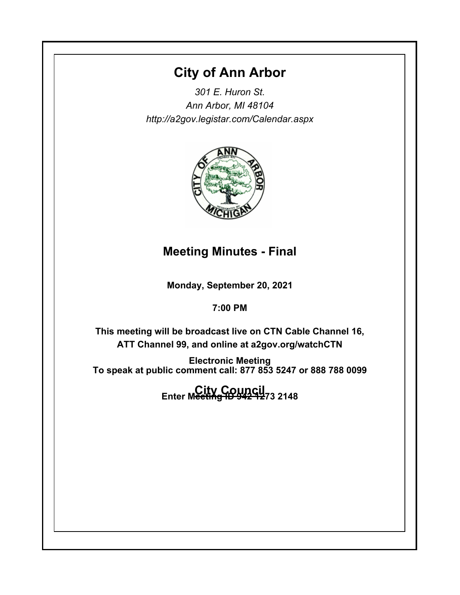# **City of Ann Arbor**

*301 E. Huron St. Ann Arbor, MI 48104 http://a2gov.legistar.com/Calendar.aspx*



# **Meeting Minutes - Final**

**Monday, September 20, 2021**

**7:00 PM**

**This meeting will be broadcast live on CTN Cable Channel 16, ATT Channel 99, and online at a2gov.org/watchCTN** 

**Electronic Meeting To speak at public comment call: 877 853 5247 or 888 788 0099** 

**City Council Enter Meeting ID 942 1273 2148**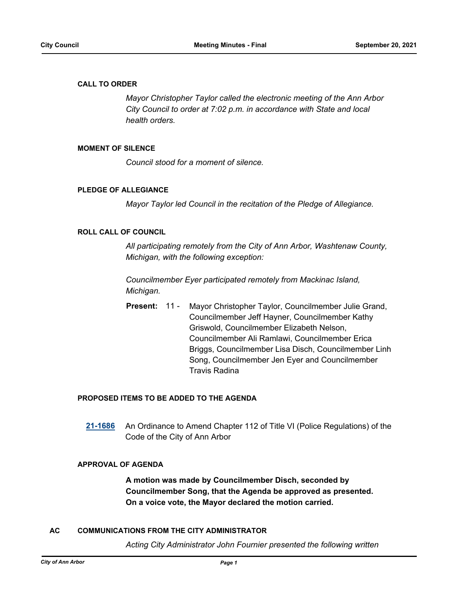### **CALL TO ORDER**

*Mayor Christopher Taylor called the electronic meeting of the Ann Arbor City Council to order at 7:02 p.m. in accordance with State and local health orders.*

### **MOMENT OF SILENCE**

*Council stood for a moment of silence.*

### **PLEDGE OF ALLEGIANCE**

*Mayor Taylor led Council in the recitation of the Pledge of Allegiance.*

### **ROLL CALL OF COUNCIL**

*All participating remotely from the City of Ann Arbor, Washtenaw County, Michigan, with the following exception:*

*Councilmember Eyer participated remotely from Mackinac Island, Michigan.*

Mayor Christopher Taylor, Councilmember Julie Grand, Councilmember Jeff Hayner, Councilmember Kathy Griswold, Councilmember Elizabeth Nelson, Councilmember Ali Ramlawi, Councilmember Erica Briggs, Councilmember Lisa Disch, Councilmember Linh Song, Councilmember Jen Eyer and Councilmember Travis Radina **Present:** 11 -

### **PROPOSED ITEMS TO BE ADDED TO THE AGENDA**

**[21-1686](http://a2gov.legistar.com/gateway.aspx?M=L&ID=28612)** An Ordinance to Amend Chapter 112 of Title VI (Police Regulations) of the Code of the City of Ann Arbor

### **APPROVAL OF AGENDA**

**A motion was made by Councilmember Disch, seconded by Councilmember Song, that the Agenda be approved as presented. On a voice vote, the Mayor declared the motion carried.**

### **AC COMMUNICATIONS FROM THE CITY ADMINISTRATOR**

*Acting City Administrator John Fournier presented the following written*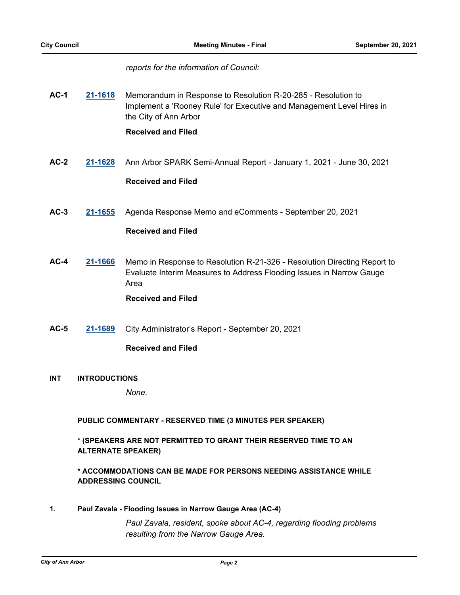### *reports for the information of Council:*

**AC-1 [21-1618](http://a2gov.legistar.com/gateway.aspx?M=L&ID=28544)** Memorandum in Response to Resolution R-20-285 - Resolution to Implement a 'Rooney Rule' for Executive and Management Level Hires in the City of Ann Arbor

### **Received and Filed**

**AC-2 [21-1628](http://a2gov.legistar.com/gateway.aspx?M=L&ID=28554)** Ann Arbor SPARK Semi-Annual Report - January 1, 2021 - June 30, 2021

# **Received and Filed**

**AC-3 [21-1655](http://a2gov.legistar.com/gateway.aspx?M=L&ID=28581)** Agenda Response Memo and eComments - September 20, 2021

# **Received and Filed**

**AC-4 [21-1666](http://a2gov.legistar.com/gateway.aspx?M=L&ID=28592)** Memo in Response to Resolution R-21-326 - Resolution Directing Report to Evaluate Interim Measures to Address Flooding Issues in Narrow Gauge Area

### **Received and Filed**

**AC-5 [21-1689](http://a2gov.legistar.com/gateway.aspx?M=L&ID=28615)** City Administrator's Report - September 20, 2021

### **Received and Filed**

**INT INTRODUCTIONS**

*None.*

### **PUBLIC COMMENTARY - RESERVED TIME (3 MINUTES PER SPEAKER)**

# **\* (SPEAKERS ARE NOT PERMITTED TO GRANT THEIR RESERVED TIME TO AN ALTERNATE SPEAKER)**

# **\* ACCOMMODATIONS CAN BE MADE FOR PERSONS NEEDING ASSISTANCE WHILE ADDRESSING COUNCIL**

**1. Paul Zavala - Flooding Issues in Narrow Gauge Area (AC-4)**

*Paul Zavala, resident, spoke about AC-4, regarding flooding problems resulting from the Narrow Gauge Area.*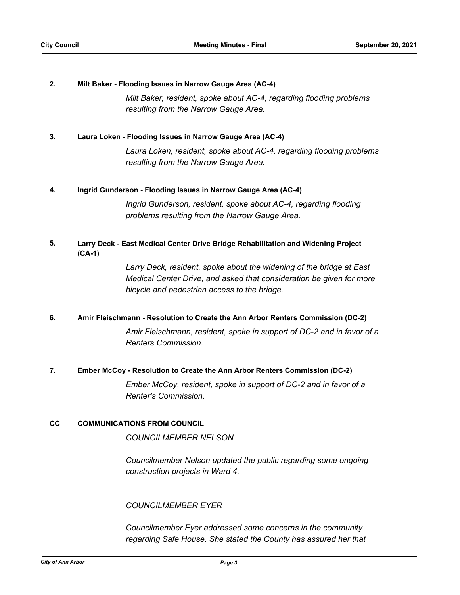### **2. Milt Baker - Flooding Issues in Narrow Gauge Area (AC-4)**

*Milt Baker, resident, spoke about AC-4, regarding flooding problems resulting from the Narrow Gauge Area.*

### **3. Laura Loken - Flooding Issues in Narrow Gauge Area (AC-4)**

*Laura Loken, resident, spoke about AC-4, regarding flooding problems resulting from the Narrow Gauge Area.*

### **4. Ingrid Gunderson - Flooding Issues in Narrow Gauge Area (AC-4)**

*Ingrid Gunderson, resident, spoke about AC-4, regarding flooding problems resulting from the Narrow Gauge Area.*

### **Larry Deck - East Medical Center Drive Bridge Rehabilitation and Widening Project (CA-1) 5.**

*Larry Deck, resident, spoke about the widening of the bridge at East Medical Center Drive, and asked that consideration be given for more bicycle and pedestrian access to the bridge.*

### **6. Amir Fleischmann - Resolution to Create the Ann Arbor Renters Commission (DC-2)**

*Amir Fleischmann, resident, spoke in support of DC-2 and in favor of a Renters Commission.*

### **7. Ember McCoy - Resolution to Create the Ann Arbor Renters Commission (DC-2)**

*Ember McCoy, resident, spoke in support of DC-2 and in favor of a Renter's Commission.*

### **CC COMMUNICATIONS FROM COUNCIL**

*COUNCILMEMBER NELSON*

*Councilmember Nelson updated the public regarding some ongoing construction projects in Ward 4.*

### *COUNCILMEMBER EYER*

*Councilmember Eyer addressed some concerns in the community regarding Safe House. She stated the County has assured her that*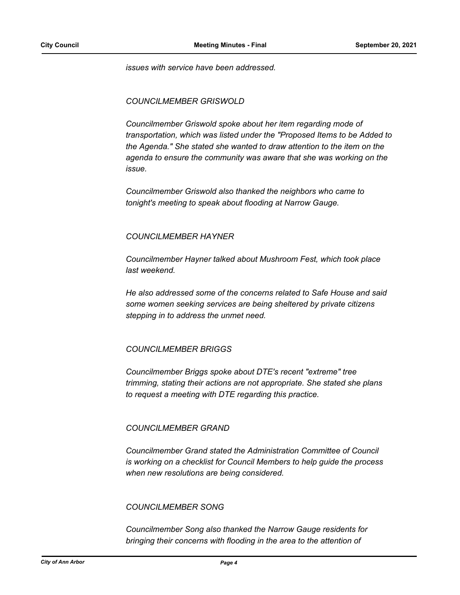*issues with service have been addressed.*

### *COUNCILMEMBER GRISWOLD*

*Councilmember Griswold spoke about her item regarding mode of transportation, which was listed under the "Proposed Items to be Added to the Agenda." She stated she wanted to draw attention to the item on the agenda to ensure the community was aware that she was working on the issue.*

*Councilmember Griswold also thanked the neighbors who came to tonight's meeting to speak about flooding at Narrow Gauge.*

### *COUNCILMEMBER HAYNER*

*Councilmember Hayner talked about Mushroom Fest, which took place last weekend.* 

*He also addressed some of the concerns related to Safe House and said some women seeking services are being sheltered by private citizens stepping in to address the unmet need.*

### *COUNCILMEMBER BRIGGS*

*Councilmember Briggs spoke about DTE's recent "extreme" tree trimming, stating their actions are not appropriate. She stated she plans to request a meeting with DTE regarding this practice.*

### *COUNCILMEMBER GRAND*

*Councilmember Grand stated the Administration Committee of Council is working on a checklist for Council Members to help guide the process when new resolutions are being considered.*

### *COUNCILMEMBER SONG*

*Councilmember Song also thanked the Narrow Gauge residents for bringing their concerns with flooding in the area to the attention of*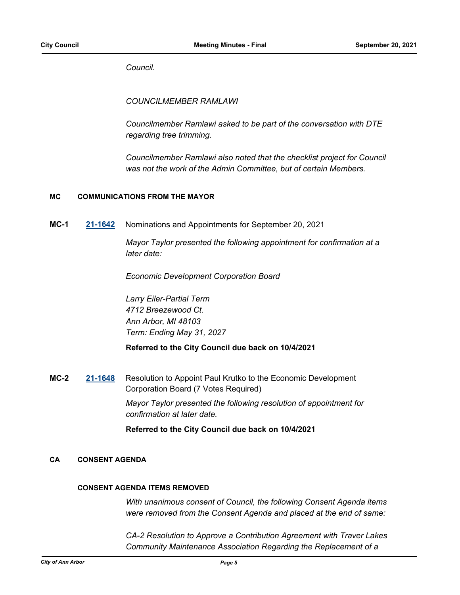*Council.*

*COUNCILMEMBER RAMLAWI*

*Councilmember Ramlawi asked to be part of the conversation with DTE regarding tree trimming.*

*Councilmember Ramlawi also noted that the checklist project for Council was not the work of the Admin Committee, but of certain Members.*

### **MC COMMUNICATIONS FROM THE MAYOR**

**MC-1 [21-1642](http://a2gov.legistar.com/gateway.aspx?M=L&ID=28568)** Nominations and Appointments for September 20, 2021

*Mayor Taylor presented the following appointment for confirmation at a later date:* 

*Economic Development Corporation Board*

*Larry Eiler-Partial Term 4712 Breezewood Ct. Ann Arbor, MI 48103 Term: Ending May 31, 2027*

### **Referred to the City Council due back on 10/4/2021**

**MC-2 [21-1648](http://a2gov.legistar.com/gateway.aspx?M=L&ID=28574)** Resolution to Appoint Paul Krutko to the Economic Development Corporation Board (7 Votes Required) *Mayor Taylor presented the following resolution of appointment for confirmation at later date.*

**Referred to the City Council due back on 10/4/2021**

### **CA CONSENT AGENDA**

### **CONSENT AGENDA ITEMS REMOVED**

*With unanimous consent of Council, the following Consent Agenda items were removed from the Consent Agenda and placed at the end of same:*

*CA-2 Resolution to Approve a Contribution Agreement with Traver Lakes Community Maintenance Association Regarding the Replacement of a*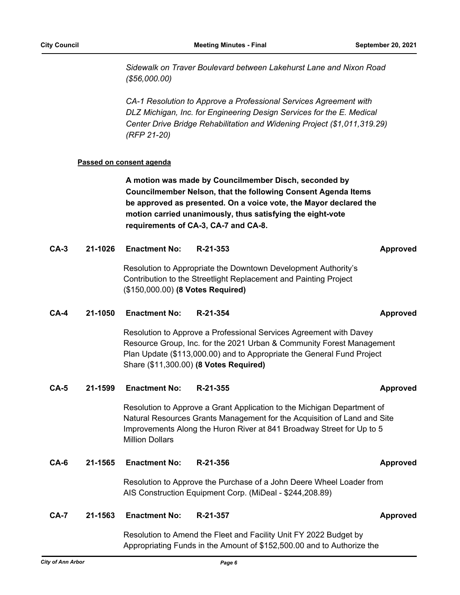*Sidewalk on Traver Boulevard between Lakehurst Lane and Nixon Road (\$56,000.00)*

*CA-1 Resolution to Approve a Professional Services Agreement with DLZ Michigan, Inc. for Engineering Design Services for the E. Medical Center Drive Bridge Rehabilitation and Widening Project (\$1,011,319.29) (RFP 21-20)*

### **Passed on consent agenda**

**A motion was made by Councilmember Disch, seconded by Councilmember Nelson, that the following Consent Agenda Items be approved as presented. On a voice vote, the Mayor declared the motion carried unanimously, thus satisfying the eight-vote requirements of CA-3, CA-7 and CA-8.**

### **CA-3 21-1026 Enactment No: R-21-353 Approved**

Resolution to Appropriate the Downtown Development Authority's Contribution to the Streetlight Replacement and Painting Project (\$150,000.00) **(8 Votes Required)**

### **CA-4 21-1050 Enactment No: R-21-354 Approved**

Resolution to Approve a Professional Services Agreement with Davey Resource Group, Inc. for the 2021 Urban & Community Forest Management Plan Update (\$113,000.00) and to Appropriate the General Fund Project Share (\$11,300.00) **(8 Votes Required)**

### **CA-5 21-1599 Enactment No: R-21-355 Approved**

Resolution to Approve a Grant Application to the Michigan Department of Natural Resources Grants Management for the Acquisition of Land and Site Improvements Along the Huron River at 841 Broadway Street for Up to 5 Million Dollars

### **CA-6 21-1565 Enactment No: R-21-356 Approved**

Resolution to Approve the Purchase of a John Deere Wheel Loader from AIS Construction Equipment Corp. (MiDeal - \$244,208.89)

### **CA-7 21-1563 Enactment No: R-21-357 Approved**

Resolution to Amend the Fleet and Facility Unit FY 2022 Budget by Appropriating Funds in the Amount of \$152,500.00 and to Authorize the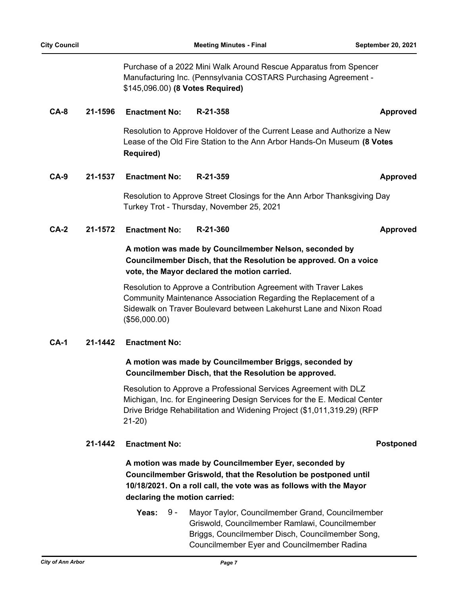Purchase of a 2022 Mini Walk Around Rescue Apparatus from Spencer Manufacturing Inc. (Pennsylvania COSTARS Purchasing Agreement - \$145,096.00) **(8 Votes Required)**

### **CA-8 21-1596 Enactment No: R-21-358 Approved**

Resolution to Approve Holdover of the Current Lease and Authorize a New Lease of the Old Fire Station to the Ann Arbor Hands-On Museum **(8 Votes Required)**

### **CA-9 21-1537 Enactment No: R-21-359 Approved**

Resolution to Approve Street Closings for the Ann Arbor Thanksgiving Day Turkey Trot - Thursday, November 25, 2021

### **CA-2 21-1572 Enactment No: R-21-360 Approved**

# **A motion was made by Councilmember Nelson, seconded by Councilmember Disch, that the Resolution be approved. On a voice vote, the Mayor declared the motion carried.**

Resolution to Approve a Contribution Agreement with Traver Lakes Community Maintenance Association Regarding the Replacement of a Sidewalk on Traver Boulevard between Lakehurst Lane and Nixon Road (\$56,000.00)

### **CA-1 21-1442 Enactment No:**

# **A motion was made by Councilmember Briggs, seconded by Councilmember Disch, that the Resolution be approved.**

Resolution to Approve a Professional Services Agreement with DLZ Michigan, Inc. for Engineering Design Services for the E. Medical Center Drive Bridge Rehabilitation and Widening Project (\$1,011,319.29) (RFP 21-20)

### **21-1442 Enactment No: Postponed**

**A motion was made by Councilmember Eyer, seconded by Councilmember Griswold, that the Resolution be postponed until 10/18/2021. On a roll call, the vote was as follows with the Mayor declaring the motion carried:**

**Yeas:** Mayor Taylor, Councilmember Grand, Councilmember Griswold, Councilmember Ramlawi, Councilmember Briggs, Councilmember Disch, Councilmember Song, Councilmember Eyer and Councilmember Radina Yeas:  $9 -$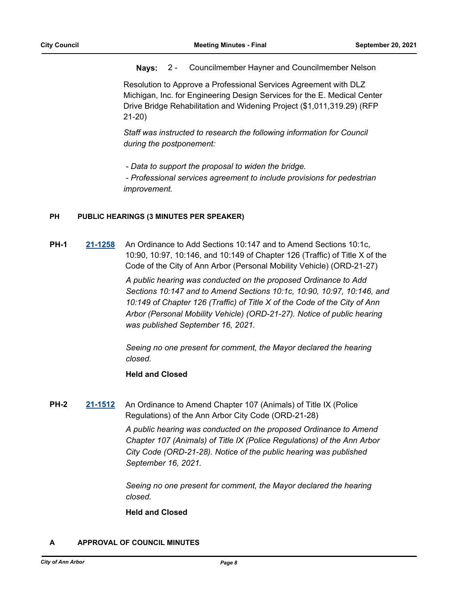### **Nays:** 2 - Councilmember Hayner and Councilmember Nelson

Resolution to Approve a Professional Services Agreement with DLZ Michigan, Inc. for Engineering Design Services for the E. Medical Center Drive Bridge Rehabilitation and Widening Project (\$1,011,319.29) (RFP 21-20)

*Staff was instructed to research the following information for Council during the postponement:*

 *- Data to support the proposal to widen the bridge.*

 *- Professional services agreement to include provisions for pedestrian improvement.*

# **PH PUBLIC HEARINGS (3 MINUTES PER SPEAKER)**

**PH-1 [21-1258](http://a2gov.legistar.com/gateway.aspx?M=L&ID=27189)** An Ordinance to Add Sections 10:147 and to Amend Sections 10:1c, 10:90, 10:97, 10:146, and 10:149 of Chapter 126 (Traffic) of Title X of the Code of the City of Ann Arbor (Personal Mobility Vehicle) (ORD-21-27)

> *A public hearing was conducted on the proposed Ordinance to Add Sections 10:147 and to Amend Sections 10:1c, 10:90, 10:97, 10:146, and 10:149 of Chapter 126 (Traffic) of Title X of the Code of the City of Ann Arbor (Personal Mobility Vehicle) (ORD-21-27). Notice of public hearing was published September 16, 2021.*

*Seeing no one present for comment, the Mayor declared the hearing closed.*

### **Held and Closed**

**PH-2 [21-1512](http://a2gov.legistar.com/gateway.aspx?M=L&ID=28438)** An Ordinance to Amend Chapter 107 (Animals) of Title IX (Police Regulations) of the Ann Arbor City Code (ORD-21-28)

> *A public hearing was conducted on the proposed Ordinance to Amend Chapter 107 (Animals) of Title IX (Police Regulations) of the Ann Arbor City Code (ORD-21-28). Notice of the public hearing was published September 16, 2021.*

*Seeing no one present for comment, the Mayor declared the hearing closed.*

### **Held and Closed**

# **A APPROVAL OF COUNCIL MINUTES**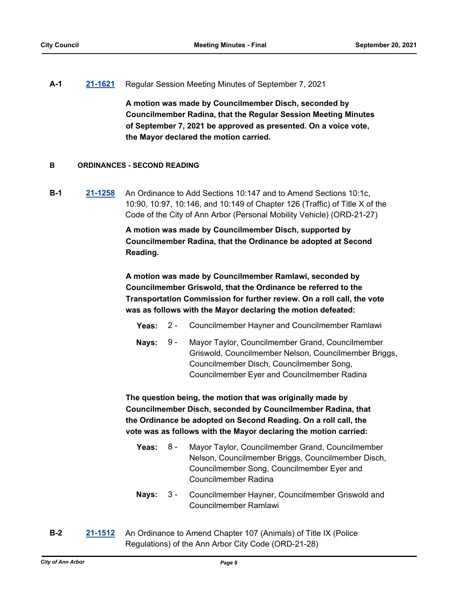### **A-1 [21-1621](http://a2gov.legistar.com/gateway.aspx?M=L&ID=28547)** Regular Session Meeting Minutes of September 7, 2021

**A motion was made by Councilmember Disch, seconded by Councilmember Radina, that the Regular Session Meeting Minutes of September 7, 2021 be approved as presented. On a voice vote, the Mayor declared the motion carried.**

### **B ORDINANCES - SECOND READING**

**B-1 [21-1258](http://a2gov.legistar.com/gateway.aspx?M=L&ID=27189)** An Ordinance to Add Sections 10:147 and to Amend Sections 10:1c, 10:90, 10:97, 10:146, and 10:149 of Chapter 126 (Traffic) of Title X of the Code of the City of Ann Arbor (Personal Mobility Vehicle) (ORD-21-27)

> **A motion was made by Councilmember Disch, supported by Councilmember Radina, that the Ordinance be adopted at Second Reading.**

**A motion was made by Councilmember Ramlawi, seconded by Councilmember Griswold, that the Ordinance be referred to the Transportation Commission for further review. On a roll call, the vote was as follows with the Mayor declaring the motion defeated:**

- **Yeas:** 2 Councilmember Hayner and Councilmember Ramlawi
- Nays: 9 Mayor Taylor, Councilmember Grand, Councilmember Griswold, Councilmember Nelson, Councilmember Briggs, Councilmember Disch, Councilmember Song, Councilmember Eyer and Councilmember Radina  $9 -$

**The question being, the motion that was originally made by Councilmember Disch, seconded by Councilmember Radina, that the Ordinance be adopted on Second Reading. On a roll call, the vote was as follows with the Mayor declaring the motion carried:**

- **Yeas:** Mayor Taylor, Councilmember Grand, Councilmember Nelson, Councilmember Briggs, Councilmember Disch, Councilmember Song, Councilmember Eyer and Councilmember Radina Yeas:  $8 -$
- Nays: 3 Councilmember Hayner, Councilmember Griswold and Councilmember Ramlawi  $3 -$
- **B-2 [21-1512](http://a2gov.legistar.com/gateway.aspx?M=L&ID=28438)** An Ordinance to Amend Chapter 107 (Animals) of Title IX (Police Regulations) of the Ann Arbor City Code (ORD-21-28)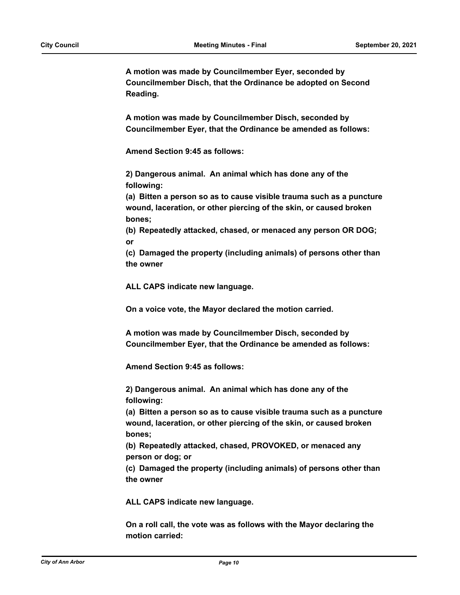**A motion was made by Councilmember Eyer, seconded by Councilmember Disch, that the Ordinance be adopted on Second Reading.**

**A motion was made by Councilmember Disch, seconded by Councilmember Eyer, that the Ordinance be amended as follows:**

**Amend Section 9:45 as follows:**

**2) Dangerous animal. An animal which has done any of the following:**

**(a) Bitten a person so as to cause visible trauma such as a puncture wound, laceration, or other piercing of the skin, or caused broken bones;**

**(b) Repeatedly attacked, chased, or menaced any person OR DOG; or**

**(c) Damaged the property (including animals) of persons other than the owner**

**ALL CAPS indicate new language.**

**On a voice vote, the Mayor declared the motion carried.**

**A motion was made by Councilmember Disch, seconded by Councilmember Eyer, that the Ordinance be amended as follows:**

**Amend Section 9:45 as follows:**

**2) Dangerous animal. An animal which has done any of the following:**

**(a) Bitten a person so as to cause visible trauma such as a puncture wound, laceration, or other piercing of the skin, or caused broken bones;**

**(b) Repeatedly attacked, chased, PROVOKED, or menaced any person or dog; or**

**(c) Damaged the property (including animals) of persons other than the owner**

**ALL CAPS indicate new language.**

**On a roll call, the vote was as follows with the Mayor declaring the motion carried:**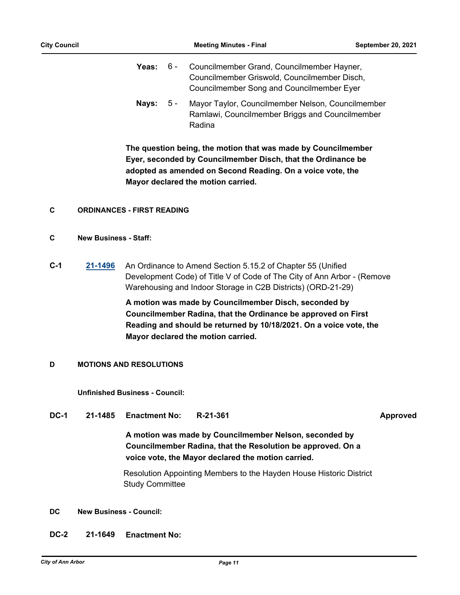- Yeas: 6 Councilmember Grand, Councilmember Hayner, Councilmember Griswold, Councilmember Disch, Councilmember Song and Councilmember Eyer  $6 -$
- Nays: 5 Mayor Taylor, Councilmember Nelson, Councilmember Ramlawi, Councilmember Briggs and Councilmember Radina  $5 -$

**The question being, the motion that was made by Councilmember Eyer, seconded by Councilmember Disch, that the Ordinance be adopted as amended on Second Reading. On a voice vote, the Mayor declared the motion carried.**

### **C ORDINANCES - FIRST READING**

### **C New Business - Staff:**

**C-1 [21-1496](http://a2gov.legistar.com/gateway.aspx?M=L&ID=28422)** An Ordinance to Amend Section 5.15.2 of Chapter 55 (Unified Development Code) of Title V of Code of The City of Ann Arbor - (Remove Warehousing and Indoor Storage in C2B Districts) (ORD-21-29)

> **A motion was made by Councilmember Disch, seconded by Councilmember Radina, that the Ordinance be approved on First Reading and should be returned by 10/18/2021. On a voice vote, the Mayor declared the motion carried.**

### **D MOTIONS AND RESOLUTIONS**

**Unfinished Business - Council:**

**DC-1 21-1485 Enactment No: R-21-361 Approved**

**A motion was made by Councilmember Nelson, seconded by Councilmember Radina, that the Resolution be approved. On a voice vote, the Mayor declared the motion carried.**

Resolution Appointing Members to the Hayden House Historic District Study Committee

### **DC New Business - Council:**

**DC-2 21-1649 Enactment No:**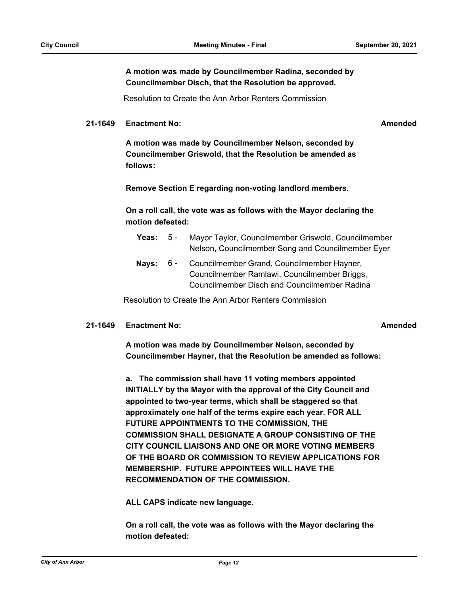**A motion was made by Councilmember Radina, seconded by Councilmember Disch, that the Resolution be approved.**

Resolution to Create the Ann Arbor Renters Commission

### **21-1649 Enactment No: Amended**

**A motion was made by Councilmember Nelson, seconded by Councilmember Griswold, that the Resolution be amended as follows:**

**Remove Section E regarding non-voting landlord members.**

**On a roll call, the vote was as follows with the Mayor declaring the motion defeated:**

- **Yeas:** 5 Mayor Taylor, Councilmember Griswold, Councilmember Nelson, Councilmember Song and Councilmember Eyer  $5 -$
- Nays: 6 Councilmember Grand, Councilmember Hayner, Councilmember Ramlawi, Councilmember Briggs, Councilmember Disch and Councilmember Radina  $6 -$

Resolution to Create the Ann Arbor Renters Commission

### **21-1649 Enactment No: Amended**

**A motion was made by Councilmember Nelson, seconded by Councilmember Hayner, that the Resolution be amended as follows:** 

**a. The commission shall have 11 voting members appointed INITIALLY by the Mayor with the approval of the City Council and appointed to two-year terms, which shall be staggered so that approximately one half of the terms expire each year. FOR ALL FUTURE APPOINTMENTS TO THE COMMISSION, THE COMMISSION SHALL DESIGNATE A GROUP CONSISTING OF THE CITY COUNCIL LIAISONS AND ONE OR MORE VOTING MEMBERS OF THE BOARD OR COMMISSION TO REVIEW APPLICATIONS FOR MEMBERSHIP. FUTURE APPOINTEES WILL HAVE THE RECOMMENDATION OF THE COMMISSION.**

**ALL CAPS indicate new language.**

**On a roll call, the vote was as follows with the Mayor declaring the motion defeated:**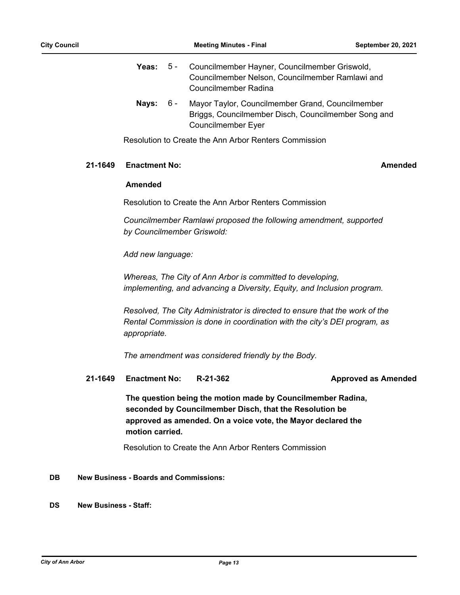|   | Yeas: 5 - Councilmember Hayner, Councilmember Griswold, |
|---|---------------------------------------------------------|
|   | Councilmember Nelson, Councilmember Ramlawi and         |
|   | Councilmember Radina                                    |
| . |                                                         |

Nays: 6 - Mayor Taylor, Councilmember Grand, Councilmember Briggs, Councilmember Disch, Councilmember Song and Councilmember Eyer  $6 -$ 

Resolution to Create the Ann Arbor Renters Commission

### **21-1649 Enactment No: Amended**

### **Amended**

Resolution to Create the Ann Arbor Renters Commission

*Councilmember Ramlawi proposed the following amendment, supported by Councilmember Griswold:*

*Add new language:*

*Whereas, The City of Ann Arbor is committed to developing, implementing, and advancing a Diversity, Equity, and Inclusion program.*

*Resolved, The City Administrator is directed to ensure that the work of the Rental Commission is done in coordination with the city's DEI program, as appropriate.* 

*The amendment was considered friendly by the Body.*

**21-1649 Enactment No: R-21-362 Approved as Amended**

**The question being the motion made by Councilmember Radina, seconded by Councilmember Disch, that the Resolution be approved as amended. On a voice vote, the Mayor declared the motion carried.**

Resolution to Create the Ann Arbor Renters Commission

### **DB New Business - Boards and Commissions:**

### **DS New Business - Staff:**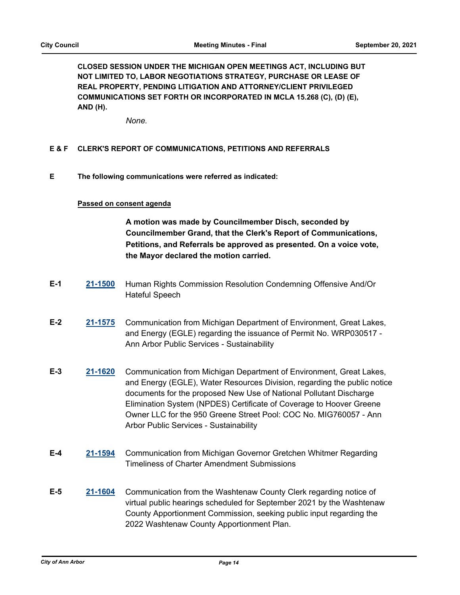**CLOSED SESSION UNDER THE MICHIGAN OPEN MEETINGS ACT, INCLUDING BUT NOT LIMITED TO, LABOR NEGOTIATIONS STRATEGY, PURCHASE OR LEASE OF REAL PROPERTY, PENDING LITIGATION AND ATTORNEY/CLIENT PRIVILEGED COMMUNICATIONS SET FORTH OR INCORPORATED IN MCLA 15.268 (C), (D) (E), AND (H).**

*None.*

### **E & F CLERK'S REPORT OF COMMUNICATIONS, PETITIONS AND REFERRALS**

**E The following communications were referred as indicated:**

### **Passed on consent agenda**

**A motion was made by Councilmember Disch, seconded by Councilmember Grand, that the Clerk's Report of Communications, Petitions, and Referrals be approved as presented. On a voice vote, the Mayor declared the motion carried.**

- **E-1 [21-1500](http://a2gov.legistar.com/gateway.aspx?M=L&ID=28426)** Human Rights Commission Resolution Condemning Offensive And/Or Hateful Speech
- **E-2 [21-1575](http://a2gov.legistar.com/gateway.aspx?M=L&ID=28501)** Communication from Michigan Department of Environment, Great Lakes, and Energy (EGLE) regarding the issuance of Permit No. WRP030517 - Ann Arbor Public Services - Sustainability
- **E-3 [21-1620](http://a2gov.legistar.com/gateway.aspx?M=L&ID=28546)** Communication from Michigan Department of Environment, Great Lakes, and Energy (EGLE), Water Resources Division, regarding the public notice documents for the proposed New Use of National Pollutant Discharge Elimination System (NPDES) Certificate of Coverage to Hoover Greene Owner LLC for the 950 Greene Street Pool: COC No. MIG760057 - Ann Arbor Public Services - Sustainability
- **E-4 [21-1594](http://a2gov.legistar.com/gateway.aspx?M=L&ID=28520)** Communication from Michigan Governor Gretchen Whitmer Regarding Timeliness of Charter Amendment Submissions
- **E-5 [21-1604](http://a2gov.legistar.com/gateway.aspx?M=L&ID=28530)** Communication from the Washtenaw County Clerk regarding notice of virtual public hearings scheduled for September 2021 by the Washtenaw County Apportionment Commission, seeking public input regarding the 2022 Washtenaw County Apportionment Plan.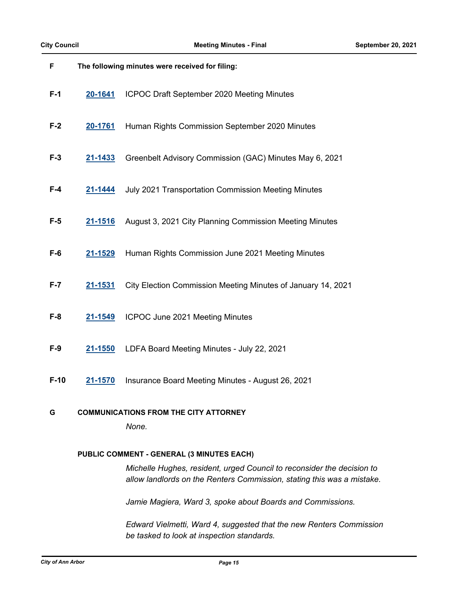| F       | The following minutes were received for filing: |                                                              |  |  |
|---------|-------------------------------------------------|--------------------------------------------------------------|--|--|
| $F-1$   | 20-1641                                         | ICPOC Draft September 2020 Meeting Minutes                   |  |  |
| $F-2$   | 20-1761                                         | Human Rights Commission September 2020 Minutes               |  |  |
| $F-3$   | 21-1433                                         | Greenbelt Advisory Commission (GAC) Minutes May 6, 2021      |  |  |
| $F-4$   | 21-1444                                         | July 2021 Transportation Commission Meeting Minutes          |  |  |
| $F-5$   | 21-1516                                         | August 3, 2021 City Planning Commission Meeting Minutes      |  |  |
| $F-6$   | 21-1529                                         | Human Rights Commission June 2021 Meeting Minutes            |  |  |
| $F - 7$ | 21-1531                                         | City Election Commission Meeting Minutes of January 14, 2021 |  |  |
| $F-8$   | 21-1549                                         | ICPOC June 2021 Meeting Minutes                              |  |  |
| $F-9$   | 21-1550                                         | LDFA Board Meeting Minutes - July 22, 2021                   |  |  |
| $F-10$  | 21-1570                                         | Insurance Board Meeting Minutes - August 26, 2021            |  |  |
| G       | <b>COMMUNICATIONS FROM THE CITY ATTORNEY</b>    |                                                              |  |  |

*None.*

### **PUBLIC COMMENT - GENERAL (3 MINUTES EACH)**

*Michelle Hughes, resident, urged Council to reconsider the decision to allow landlords on the Renters Commission, stating this was a mistake.* 

*Jamie Magiera, Ward 3, spoke about Boards and Commissions.*

*Edward Vielmetti, Ward 4, suggested that the new Renters Commission be tasked to look at inspection standards.*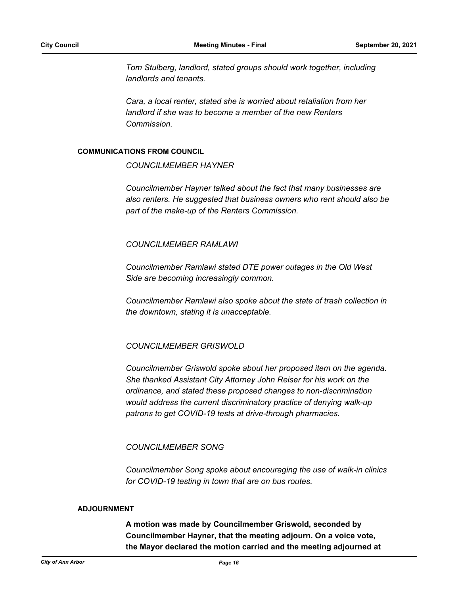*Tom Stulberg, landlord, stated groups should work together, including landlords and tenants.*

*Cara, a local renter, stated she is worried about retaliation from her landlord if she was to become a member of the new Renters Commission.*

### **COMMUNICATIONS FROM COUNCIL**

*COUNCILMEMBER HAYNER*

*Councilmember Hayner talked about the fact that many businesses are also renters. He suggested that business owners who rent should also be part of the make-up of the Renters Commission.*

### *COUNCILMEMBER RAMLAWI*

*Councilmember Ramlawi stated DTE power outages in the Old West Side are becoming increasingly common.* 

*Councilmember Ramlawi also spoke about the state of trash collection in the downtown, stating it is unacceptable.*

### *COUNCILMEMBER GRISWOLD*

*Councilmember Griswold spoke about her proposed item on the agenda. She thanked Assistant City Attorney John Reiser for his work on the ordinance, and stated these proposed changes to non-discrimination would address the current discriminatory practice of denying walk-up patrons to get COVID-19 tests at drive-through pharmacies.*

### *COUNCILMEMBER SONG*

*Councilmember Song spoke about encouraging the use of walk-in clinics for COVID-19 testing in town that are on bus routes.*

### **ADJOURNMENT**

**A motion was made by Councilmember Griswold, seconded by Councilmember Hayner, that the meeting adjourn. On a voice vote, the Mayor declared the motion carried and the meeting adjourned at**